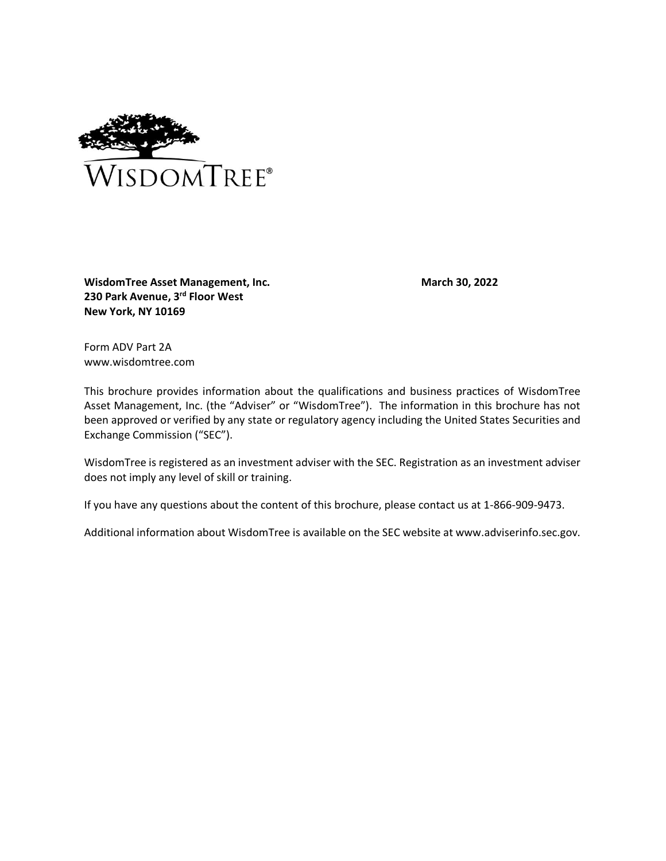<span id="page-0-0"></span>

**WisdomTree Asset Management, Inc. 230 Park Avenue, 3rd Floor West New York, NY 10169**

**March 30, 2022**

Form ADV Part 2A www.wisdomtree.com

This brochure provides information about the qualifications and business practices of WisdomTree Asset Management, Inc. (the "Adviser" or "WisdomTree"). The information in this brochure has not been approved or verified by any state or regulatory agency including the United States Securities and Exchange Commission ("SEC").

WisdomTree is registered as an investment adviser with the SEC. Registration as an investment adviser does not imply any level of skill or training.

If you have any questions about the content of this brochure, please contact us at 1-866-909-9473.

Additional information about WisdomTree is available on the SEC website at www.adviserinfo.sec.gov.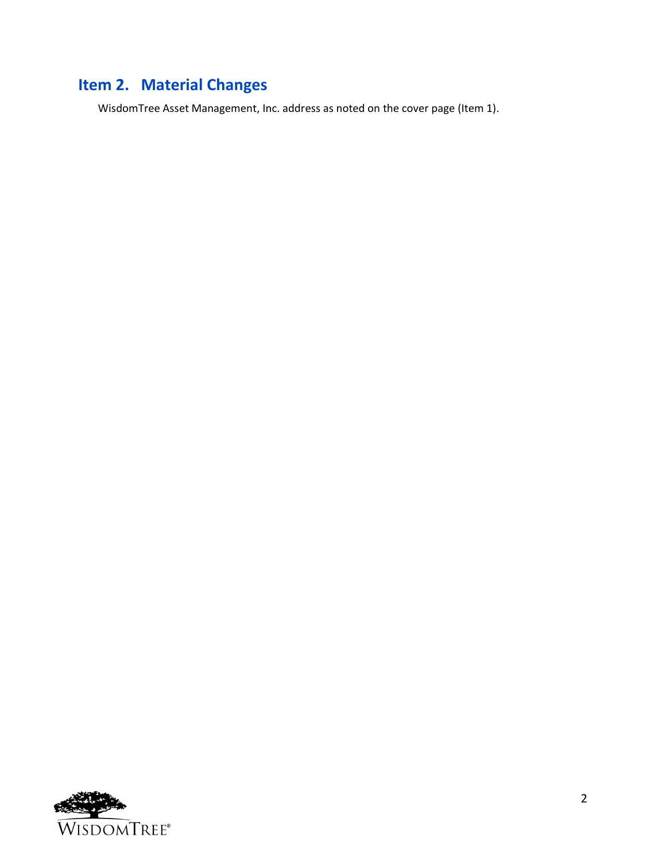# <span id="page-1-0"></span>**Item 2. Material Changes**

WisdomTree Asset Management, Inc. address as noted on the cover page (Item 1).

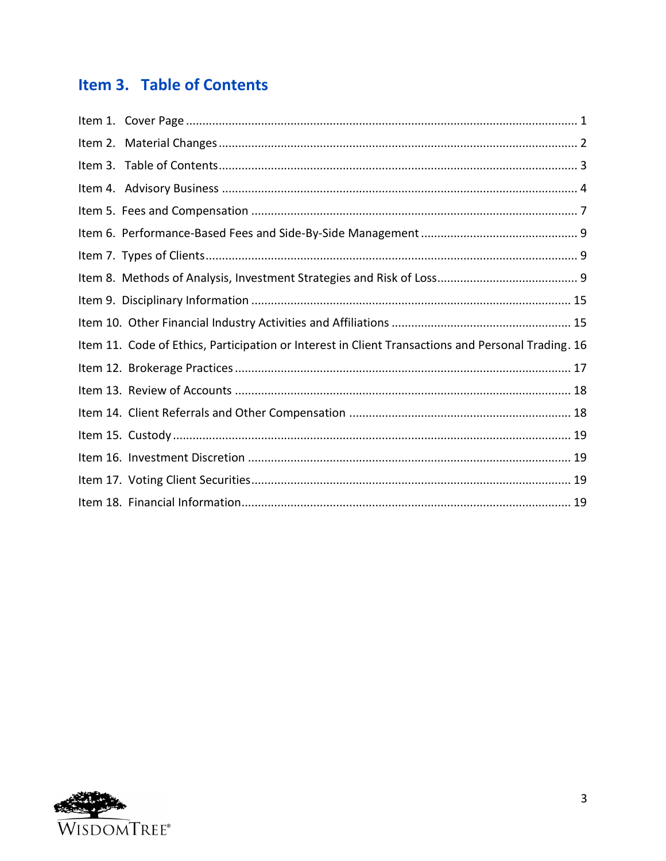# <span id="page-2-0"></span>Item 3. Table of Contents

| Item 11. Code of Ethics, Participation or Interest in Client Transactions and Personal Trading. 16 |  |
|----------------------------------------------------------------------------------------------------|--|
|                                                                                                    |  |
|                                                                                                    |  |
|                                                                                                    |  |
|                                                                                                    |  |
|                                                                                                    |  |
|                                                                                                    |  |
|                                                                                                    |  |

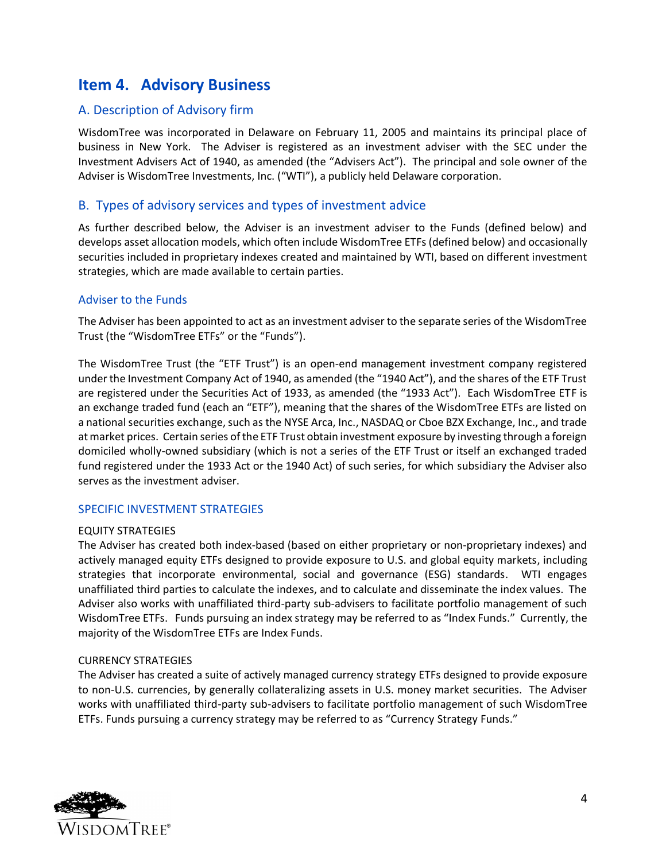## <span id="page-3-0"></span>**Item 4. Advisory Business**

## A. Description of Advisory firm

WisdomTree was incorporated in Delaware on February 11, 2005 and maintains its principal place of business in New York. The Adviser is registered as an investment adviser with the SEC under the Investment Advisers Act of 1940, as amended (the "Advisers Act"). The principal and sole owner of the Adviser is WisdomTree Investments, Inc. ("WTI"), a publicly held Delaware corporation.

## B. Types of advisory services and types of investment advice

As further described below, the Adviser is an investment adviser to the Funds (defined below) and develops asset allocation models, which often include WisdomTree ETFs (defined below) and occasionally securities included in proprietary indexes created and maintained by WTI, based on different investment strategies, which are made available to certain parties.

#### Adviser to the Funds

The Adviser has been appointed to act as an investment adviser to the separate series of the WisdomTree Trust (the "WisdomTree ETFs" or the "Funds").

The WisdomTree Trust (the "ETF Trust") is an open-end management investment company registered under the Investment Company Act of 1940, as amended (the "1940 Act"), and the shares of the ETF Trust are registered under the Securities Act of 1933, as amended (the "1933 Act"). Each WisdomTree ETF is an exchange traded fund (each an "ETF"), meaning that the shares of the WisdomTree ETFs are listed on a national securities exchange, such as the NYSE Arca, Inc., NASDAQ or Cboe BZX Exchange, Inc., and trade at market prices. Certain series of the ETF Trust obtain investment exposure by investing through a foreign domiciled wholly-owned subsidiary (which is not a series of the ETF Trust or itself an exchanged traded fund registered under the 1933 Act or the 1940 Act) of such series, for which subsidiary the Adviser also serves as the investment adviser.

### SPECIFIC INVESTMENT STRATEGIES

#### EQUITY STRATEGIES

The Adviser has created both index-based (based on either proprietary or non-proprietary indexes) and actively managed equity ETFs designed to provide exposure to U.S. and global equity markets, including strategies that incorporate environmental, social and governance (ESG) standards. WTI engages unaffiliated third parties to calculate the indexes, and to calculate and disseminate the index values. The Adviser also works with unaffiliated third-party sub-advisers to facilitate portfolio management of such WisdomTree ETFs. Funds pursuing an index strategy may be referred to as "Index Funds." Currently, the majority of the WisdomTree ETFs are Index Funds.

#### CURRENCY STRATEGIES

The Adviser has created a suite of actively managed currency strategy ETFs designed to provide exposure to non-U.S. currencies, by generally collateralizing assets in U.S. money market securities. The Adviser works with unaffiliated third-party sub-advisers to facilitate portfolio management of such WisdomTree ETFs. Funds pursuing a currency strategy may be referred to as "Currency Strategy Funds."

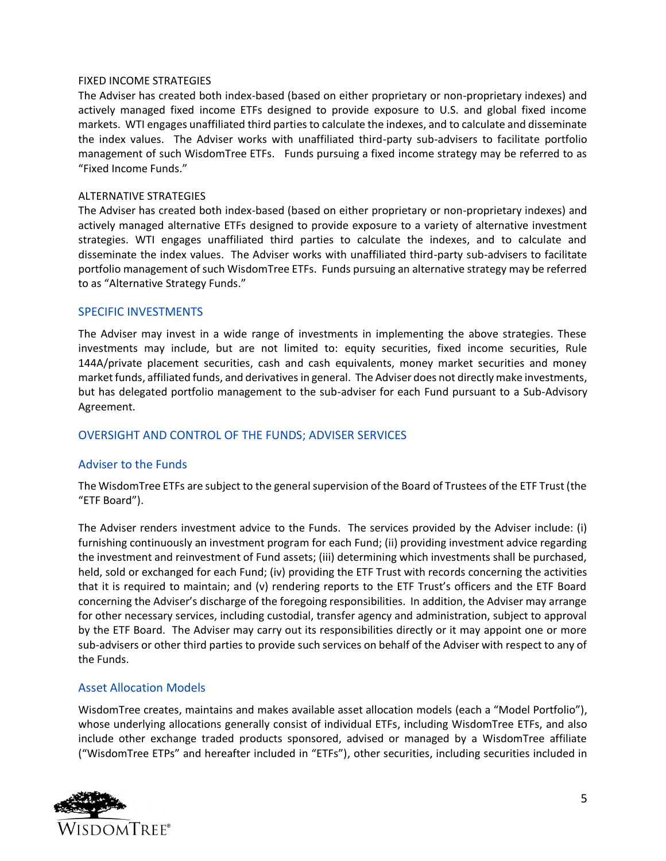#### FIXED INCOME STRATEGIES

The Adviser has created both index-based (based on either proprietary or non-proprietary indexes) and actively managed fixed income ETFs designed to provide exposure to U.S. and global fixed income markets. WTI engages unaffiliated third parties to calculate the indexes, and to calculate and disseminate the index values. The Adviser works with unaffiliated third-party sub-advisers to facilitate portfolio management of such WisdomTree ETFs. Funds pursuing a fixed income strategy may be referred to as "Fixed Income Funds."

#### ALTERNATIVE STRATEGIES

The Adviser has created both index-based (based on either proprietary or non-proprietary indexes) and actively managed alternative ETFs designed to provide exposure to a variety of alternative investment strategies. WTI engages unaffiliated third parties to calculate the indexes, and to calculate and disseminate the index values. The Adviser works with unaffiliated third-party sub-advisers to facilitate portfolio management of such WisdomTree ETFs. Funds pursuing an alternative strategy may be referred to as "Alternative Strategy Funds."

#### SPECIFIC INVESTMENTS

The Adviser may invest in a wide range of investments in implementing the above strategies. These investments may include, but are not limited to: equity securities, fixed income securities, Rule 144A/private placement securities, cash and cash equivalents, money market securities and money market funds, affiliated funds, and derivatives in general. The Adviser does not directly make investments, but has delegated portfolio management to the sub-adviser for each Fund pursuant to a Sub-Advisory Agreement.

#### OVERSIGHT AND CONTROL OF THE FUNDS; ADVISER SERVICES

#### Adviser to the Funds

The WisdomTree ETFs are subject to the general supervision of the Board of Trustees of the ETF Trust (the "ETF Board").

The Adviser renders investment advice to the Funds. The services provided by the Adviser include: (i) furnishing continuously an investment program for each Fund; (ii) providing investment advice regarding the investment and reinvestment of Fund assets; (iii) determining which investments shall be purchased, held, sold or exchanged for each Fund; (iv) providing the ETF Trust with records concerning the activities that it is required to maintain; and (v) rendering reports to the ETF Trust's officers and the ETF Board concerning the Adviser's discharge of the foregoing responsibilities. In addition, the Adviser may arrange for other necessary services, including custodial, transfer agency and administration, subject to approval by the ETF Board. The Adviser may carry out its responsibilities directly or it may appoint one or more sub-advisers or other third parties to provide such services on behalf of the Adviser with respect to any of the Funds.

#### Asset Allocation Models

WisdomTree creates, maintains and makes available asset allocation models (each a "Model Portfolio"), whose underlying allocations generally consist of individual ETFs, including WisdomTree ETFs, and also include other exchange traded products sponsored, advised or managed by a WisdomTree affiliate ("WisdomTree ETPs" and hereafter included in "ETFs"), other securities, including securities included in

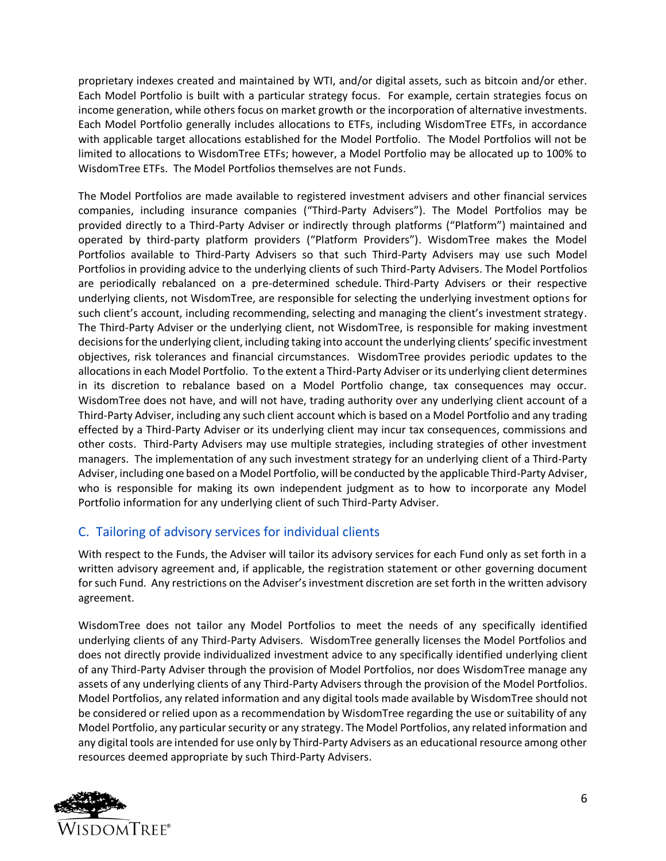proprietary indexes created and maintained by WTI, and/or digital assets, such as bitcoin and/or ether. Each Model Portfolio is built with a particular strategy focus. For example, certain strategies focus on income generation, while others focus on market growth or the incorporation of alternative investments. Each Model Portfolio generally includes allocations to ETFs, including WisdomTree ETFs, in accordance with applicable target allocations established for the Model Portfolio. The Model Portfolios will not be limited to allocations to WisdomTree ETFs; however, a Model Portfolio may be allocated up to 100% to WisdomTree ETFs. The Model Portfolios themselves are not Funds.

The Model Portfolios are made available to registered investment advisers and other financial services companies, including insurance companies ("Third-Party Advisers"). The Model Portfolios may be provided directly to a Third-Party Adviser or indirectly through platforms ("Platform") maintained and operated by third-party platform providers ("Platform Providers"). WisdomTree makes the Model Portfolios available to Third-Party Advisers so that such Third-Party Advisers may use such Model Portfolios in providing advice to the underlying clients of such Third-Party Advisers. The Model Portfolios are periodically rebalanced on a pre-determined schedule. Third-Party Advisers or their respective underlying clients, not WisdomTree, are responsible for selecting the underlying investment options for such client's account, including recommending, selecting and managing the client's investment strategy. The Third-Party Adviser or the underlying client, not WisdomTree, is responsible for making investment decisions for the underlying client, including taking into account the underlying clients' specific investment objectives, risk tolerances and financial circumstances. WisdomTree provides periodic updates to the allocations in each Model Portfolio. To the extent a Third-Party Adviser or its underlying client determines in its discretion to rebalance based on a Model Portfolio change, tax consequences may occur. WisdomTree does not have, and will not have, trading authority over any underlying client account of a Third-Party Adviser, including any such client account which is based on a Model Portfolio and any trading effected by a Third-Party Adviser or its underlying client may incur tax consequences, commissions and other costs. Third-Party Advisers may use multiple strategies, including strategies of other investment managers. The implementation of any such investment strategy for an underlying client of a Third-Party Adviser, including one based on a Model Portfolio, will be conducted by the applicable Third-Party Adviser, who is responsible for making its own independent judgment as to how to incorporate any Model Portfolio information for any underlying client of such Third-Party Adviser.

## C. Tailoring of advisory services for individual clients

With respect to the Funds, the Adviser will tailor its advisory services for each Fund only as set forth in a written advisory agreement and, if applicable, the registration statement or other governing document for such Fund. Any restrictions on the Adviser's investment discretion are set forth in the written advisory agreement.

WisdomTree does not tailor any Model Portfolios to meet the needs of any specifically identified underlying clients of any Third-Party Advisers. WisdomTree generally licenses the Model Portfolios and does not directly provide individualized investment advice to any specifically identified underlying client of any Third-Party Adviser through the provision of Model Portfolios, nor does WisdomTree manage any assets of any underlying clients of any Third-Party Advisers through the provision of the Model Portfolios. Model Portfolios, any related information and any digital tools made available by WisdomTree should not be considered or relied upon as a recommendation by WisdomTree regarding the use or suitability of any Model Portfolio, any particular security or any strategy. The Model Portfolios, any related information and any digital tools are intended for use only by Third-Party Advisers as an educational resource among other resources deemed appropriate by such Third-Party Advisers.

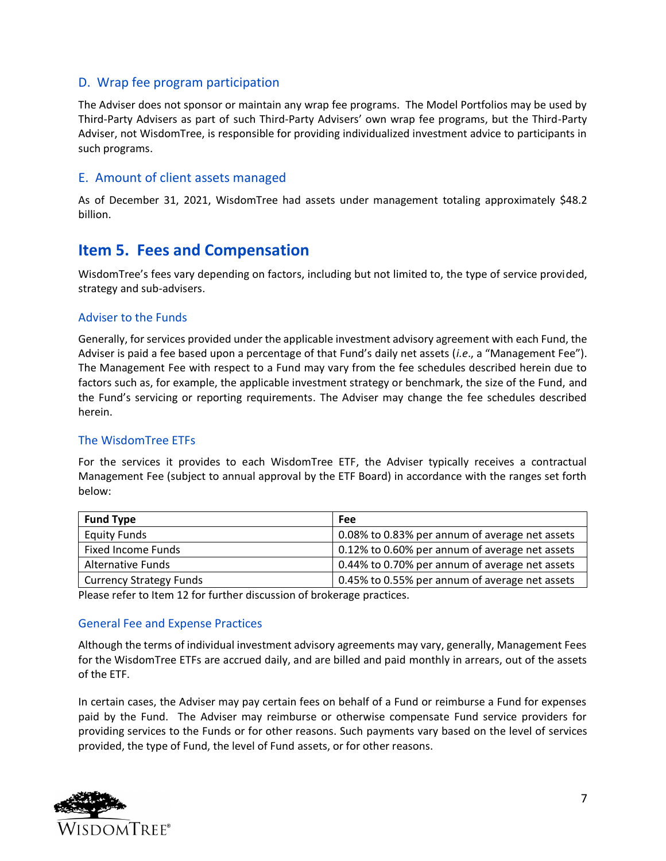### D. Wrap fee program participation

The Adviser does not sponsor or maintain any wrap fee programs. The Model Portfolios may be used by Third-Party Advisers as part of such Third-Party Advisers' own wrap fee programs, but the Third-Party Adviser, not WisdomTree, is responsible for providing individualized investment advice to participants in such programs.

#### E. Amount of client assets managed

As of December 31, 2021, WisdomTree had assets under management totaling approximately \$48.2 billion.

## <span id="page-6-0"></span>**Item 5. Fees and Compensation**

WisdomTree's fees vary depending on factors, including but not limited to, the type of service provided, strategy and sub-advisers.

#### Adviser to the Funds

Generally, for services provided under the applicable investment advisory agreement with each Fund, the Adviser is paid a fee based upon a percentage of that Fund's daily net assets (*i.e*., a "Management Fee"). The Management Fee with respect to a Fund may vary from the fee schedules described herein due to factors such as, for example, the applicable investment strategy or benchmark, the size of the Fund, and the Fund's servicing or reporting requirements. The Adviser may change the fee schedules described herein.

### The WisdomTree ETFs

For the services it provides to each WisdomTree ETF, the Adviser typically receives a contractual Management Fee (subject to annual approval by the ETF Board) in accordance with the ranges set forth below:

| <b>Fund Type</b>               | Fee                                            |
|--------------------------------|------------------------------------------------|
| <b>Equity Funds</b>            | 0.08% to 0.83% per annum of average net assets |
| Fixed Income Funds             | 0.12% to 0.60% per annum of average net assets |
| <b>Alternative Funds</b>       | 0.44% to 0.70% per annum of average net assets |
| <b>Currency Strategy Funds</b> | 0.45% to 0.55% per annum of average net assets |

Please refer to Item 12 for further discussion of brokerage practices.

#### General Fee and Expense Practices

Although the terms of individual investment advisory agreements may vary, generally, Management Fees for the WisdomTree ETFs are accrued daily, and are billed and paid monthly in arrears, out of the assets of the ETF.

In certain cases, the Adviser may pay certain fees on behalf of a Fund or reimburse a Fund for expenses paid by the Fund. The Adviser may reimburse or otherwise compensate Fund service providers for providing services to the Funds or for other reasons. Such payments vary based on the level of services provided, the type of Fund, the level of Fund assets, or for other reasons.

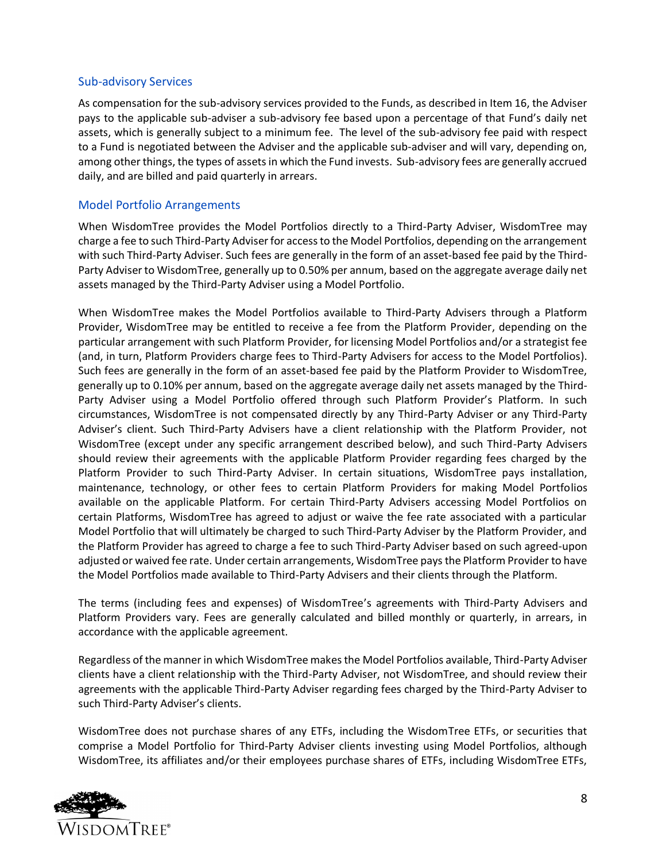#### Sub-advisory Services

As compensation for the sub-advisory services provided to the Funds, as described in Item 16, the Adviser pays to the applicable sub-adviser a sub-advisory fee based upon a percentage of that Fund's daily net assets, which is generally subject to a minimum fee. The level of the sub-advisory fee paid with respect to a Fund is negotiated between the Adviser and the applicable sub-adviser and will vary, depending on, among other things, the types of assets in which the Fund invests. Sub-advisory fees are generally accrued daily, and are billed and paid quarterly in arrears.

#### Model Portfolio Arrangements

When WisdomTree provides the Model Portfolios directly to a Third-Party Adviser, WisdomTree may charge a fee to such Third-Party Adviser for access to the Model Portfolios, depending on the arrangement with such Third-Party Adviser. Such fees are generally in the form of an asset-based fee paid by the Third-Party Adviser to WisdomTree, generally up to 0.50% per annum, based on the aggregate average daily net assets managed by the Third-Party Adviser using a Model Portfolio.

When WisdomTree makes the Model Portfolios available to Third-Party Advisers through a Platform Provider, WisdomTree may be entitled to receive a fee from the Platform Provider, depending on the particular arrangement with such Platform Provider, for licensing Model Portfolios and/or a strategist fee (and, in turn, Platform Providers charge fees to Third-Party Advisers for access to the Model Portfolios). Such fees are generally in the form of an asset-based fee paid by the Platform Provider to WisdomTree, generally up to 0.10% per annum, based on the aggregate average daily net assets managed by the Third-Party Adviser using a Model Portfolio offered through such Platform Provider's Platform. In such circumstances, WisdomTree is not compensated directly by any Third-Party Adviser or any Third-Party Adviser's client. Such Third-Party Advisers have a client relationship with the Platform Provider, not WisdomTree (except under any specific arrangement described below), and such Third-Party Advisers should review their agreements with the applicable Platform Provider regarding fees charged by the Platform Provider to such Third-Party Adviser. In certain situations, WisdomTree pays installation, maintenance, technology, or other fees to certain Platform Providers for making Model Portfolios available on the applicable Platform. For certain Third-Party Advisers accessing Model Portfolios on certain Platforms, WisdomTree has agreed to adjust or waive the fee rate associated with a particular Model Portfolio that will ultimately be charged to such Third-Party Adviser by the Platform Provider, and the Platform Provider has agreed to charge a fee to such Third-Party Adviser based on such agreed-upon adjusted or waived fee rate. Under certain arrangements, WisdomTree pays the Platform Provider to have the Model Portfolios made available to Third-Party Advisers and their clients through the Platform.

The terms (including fees and expenses) of WisdomTree's agreements with Third-Party Advisers and Platform Providers vary. Fees are generally calculated and billed monthly or quarterly, in arrears, in accordance with the applicable agreement.

Regardless of the manner in which WisdomTree makes the Model Portfolios available, Third-Party Adviser clients have a client relationship with the Third-Party Adviser, not WisdomTree, and should review their agreements with the applicable Third-Party Adviser regarding fees charged by the Third-Party Adviser to such Third-Party Adviser's clients.

WisdomTree does not purchase shares of any ETFs, including the WisdomTree ETFs, or securities that comprise a Model Portfolio for Third-Party Adviser clients investing using Model Portfolios, although WisdomTree, its affiliates and/or their employees purchase shares of ETFs, including WisdomTree ETFs,

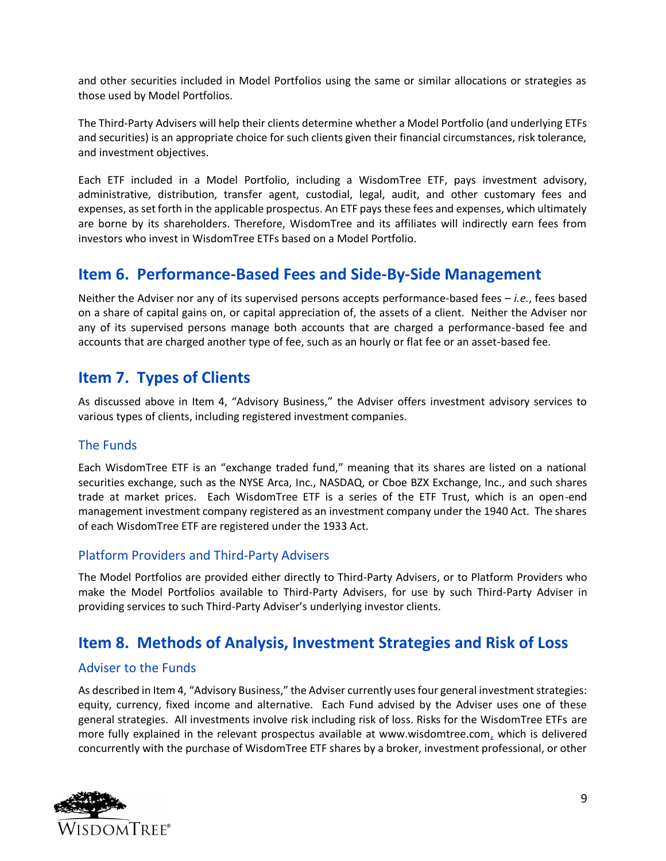and other securities included in Model Portfolios using the same or similar allocations or strategies as those used by Model Portfolios.

The Third-Party Advisers will help their clients determine whether a Model Portfolio (and underlying ETFs and securities) is an appropriate choice for such clients given their financial circumstances, risk tolerance, and investment objectives.

Each ETF included in a Model Portfolio, including a WisdomTree ETF, pays investment advisory, administrative, distribution, transfer agent, custodial, legal, audit, and other customary fees and expenses, as set forth in the applicable prospectus. An ETF pays these fees and expenses, which ultimately are borne by its shareholders. Therefore, WisdomTree and its affiliates will indirectly earn fees from investors who invest in WisdomTree ETFs based on a Model Portfolio.

## <span id="page-8-0"></span>**Item 6. Performance-Based Fees and Side-By-Side Management**

<span id="page-8-1"></span>Neither the Adviser nor any of its supervised persons accepts performance-based fees – *i.e.*, fees based on a share of capital gains on, or capital appreciation of, the assets of a client. Neither the Adviser nor any of its supervised persons manage both accounts that are charged a performance-based fee and accounts that are charged another type of fee, such as an hourly or flat fee or an asset-based fee.

## **Item 7. Types of Clients**

As discussed above in Item 4, "Advisory Business," the Adviser offers investment advisory services to various types of clients, including registered investment companies.

## The Funds

Each WisdomTree ETF is an "exchange traded fund," meaning that its shares are listed on a national securities exchange, such as the NYSE Arca, Inc., NASDAQ, or Cboe BZX Exchange, Inc., and such shares trade at market prices. Each WisdomTree ETF is a series of the ETF Trust, which is an open-end management investment company registered as an investment company under the 1940 Act. The shares of each WisdomTree ETF are registered under the 1933 Act.

### Platform Providers and Third-Party Advisers

The Model Portfolios are provided either directly to Third-Party Advisers, or to Platform Providers who make the Model Portfolios available to Third-Party Advisers, for use by such Third-Party Adviser in providing services to such Third-Party Adviser's underlying investor clients.

## <span id="page-8-2"></span>**Item 8. Methods of Analysis, Investment Strategies and Risk of Loss**

## Adviser to the Funds

As described in Item 4, "Advisory Business," the Adviser currently uses four general investment strategies: equity, currency, fixed income and alternative. Each Fund advised by the Adviser uses one of these general strategies. All investments involve risk including risk of loss. Risks for the WisdomTree ETFs are more fully explained in the relevant prospectus available at www.wisdomtree.com, which is delivered concurrently with the purchase of WisdomTree ETF shares by a broker, investment professional, or other

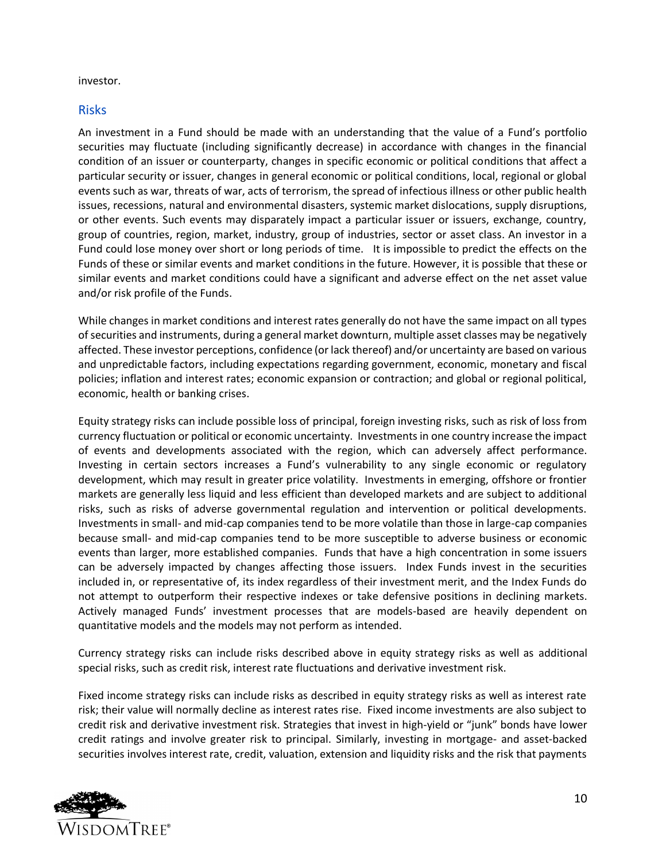investor.

### Risks

An investment in a Fund should be made with an understanding that the value of a Fund's portfolio securities may fluctuate (including significantly decrease) in accordance with changes in the financial condition of an issuer or counterparty, changes in specific economic or political conditions that affect a particular security or issuer, changes in general economic or political conditions, local, regional or global events such as war, threats of war, acts of terrorism, the spread of infectious illness or other public health issues, recessions, natural and environmental disasters, systemic market dislocations, supply disruptions, or other events. Such events may disparately impact a particular issuer or issuers, exchange, country, group of countries, region, market, industry, group of industries, sector or asset class. An investor in a Fund could lose money over short or long periods of time. It is impossible to predict the effects on the Funds of these or similar events and market conditions in the future. However, it is possible that these or similar events and market conditions could have a significant and adverse effect on the net asset value and/or risk profile of the Funds.

While changes in market conditions and interest rates generally do not have the same impact on all types of securities and instruments, during a general market downturn, multiple asset classes may be negatively affected. These investor perceptions, confidence (or lack thereof) and/or uncertainty are based on various and unpredictable factors, including expectations regarding government, economic, monetary and fiscal policies; inflation and interest rates; economic expansion or contraction; and global or regional political, economic, health or banking crises.

Equity strategy risks can include possible loss of principal, foreign investing risks, such as risk of loss from currency fluctuation or political or economic uncertainty. Investments in one country increase the impact of events and developments associated with the region, which can adversely affect performance. Investing in certain sectors increases a Fund's vulnerability to any single economic or regulatory development, which may result in greater price volatility. Investments in emerging, offshore or frontier markets are generally less liquid and less efficient than developed markets and are subject to additional risks, such as risks of adverse governmental regulation and intervention or political developments. Investments in small- and mid-cap companies tend to be more volatile than those in large-cap companies because small- and mid-cap companies tend to be more susceptible to adverse business or economic events than larger, more established companies. Funds that have a high concentration in some issuers can be adversely impacted by changes affecting those issuers. Index Funds invest in the securities included in, or representative of, its index regardless of their investment merit, and the Index Funds do not attempt to outperform their respective indexes or take defensive positions in declining markets. Actively managed Funds' investment processes that are models-based are heavily dependent on quantitative models and the models may not perform as intended.

Currency strategy risks can include risks described above in equity strategy risks as well as additional special risks, such as credit risk, interest rate fluctuations and derivative investment risk.

Fixed income strategy risks can include risks as described in equity strategy risks as well as interest rate risk; their value will normally decline as interest rates rise. Fixed income investments are also subject to credit risk and derivative investment risk. Strategies that invest in high-yield or "junk" bonds have lower credit ratings and involve greater risk to principal. Similarly, investing in mortgage- and asset-backed securities involves interest rate, credit, valuation, extension and liquidity risks and the risk that payments

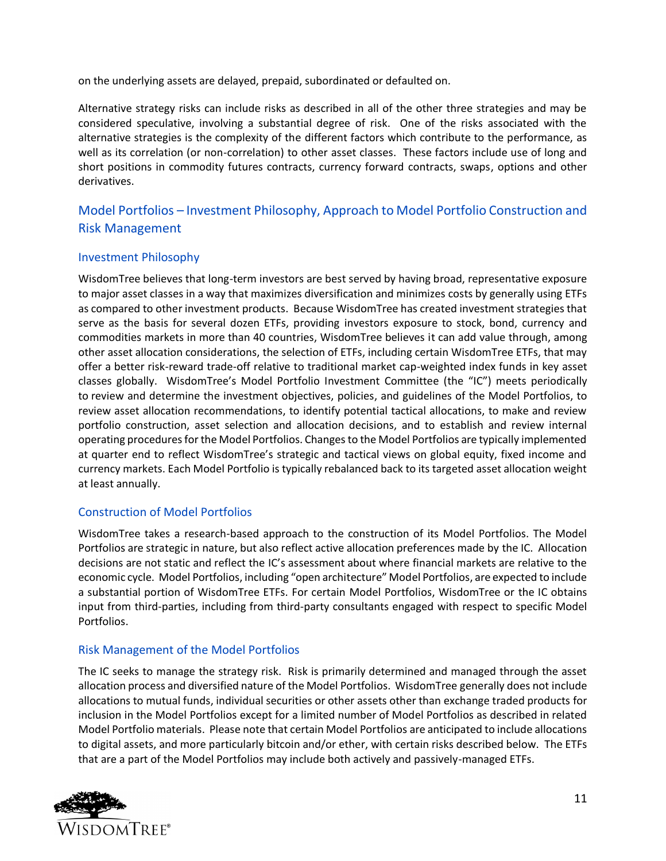on the underlying assets are delayed, prepaid, subordinated or defaulted on.

Alternative strategy risks can include risks as described in all of the other three strategies and may be considered speculative, involving a substantial degree of risk. One of the risks associated with the alternative strategies is the complexity of the different factors which contribute to the performance, as well as its correlation (or non-correlation) to other asset classes. These factors include use of long and short positions in commodity futures contracts, currency forward contracts, swaps, options and other derivatives.

## Model Portfolios – Investment Philosophy, Approach to Model Portfolio Construction and Risk Management

### Investment Philosophy

WisdomTree believes that long-term investors are best served by having broad, representative exposure to major asset classes in a way that maximizes diversification and minimizes costs by generally using ETFs as compared to other investment products. Because WisdomTree has created investment strategies that serve as the basis for several dozen ETFs, providing investors exposure to stock, bond, currency and commodities markets in more than 40 countries, WisdomTree believes it can add value through, among other asset allocation considerations, the selection of ETFs, including certain WisdomTree ETFs, that may offer a better risk-reward trade-off relative to traditional market cap-weighted index funds in key asset classes globally. WisdomTree's Model Portfolio Investment Committee (the "IC") meets periodically to review and determine the investment objectives, policies, and guidelines of the Model Portfolios, to review asset allocation recommendations, to identify potential tactical allocations, to make and review portfolio construction, asset selection and allocation decisions, and to establish and review internal operating procedures for the Model Portfolios. Changes to the Model Portfolios are typically implemented at quarter end to reflect WisdomTree's strategic and tactical views on global equity, fixed income and currency markets. Each Model Portfolio is typically rebalanced back to its targeted asset allocation weight at least annually.

## Construction of Model Portfolios

WisdomTree takes a research-based approach to the construction of its Model Portfolios. The Model Portfolios are strategic in nature, but also reflect active allocation preferences made by the IC. Allocation decisions are not static and reflect the IC's assessment about where financial markets are relative to the economic cycle. Model Portfolios, including "open architecture" Model Portfolios, are expected to include a substantial portion of WisdomTree ETFs. For certain Model Portfolios, WisdomTree or the IC obtains input from third-parties, including from third-party consultants engaged with respect to specific Model Portfolios.

### Risk Management of the Model Portfolios

The IC seeks to manage the strategy risk. Risk is primarily determined and managed through the asset allocation process and diversified nature of the Model Portfolios. WisdomTree generally does not include allocations to mutual funds, individual securities or other assets other than exchange traded products for inclusion in the Model Portfolios except for a limited number of Model Portfolios as described in related Model Portfolio materials. Please note that certain Model Portfolios are anticipated to include allocations to digital assets, and more particularly bitcoin and/or ether, with certain risks described below. The ETFs that are a part of the Model Portfolios may include both actively and passively-managed ETFs.

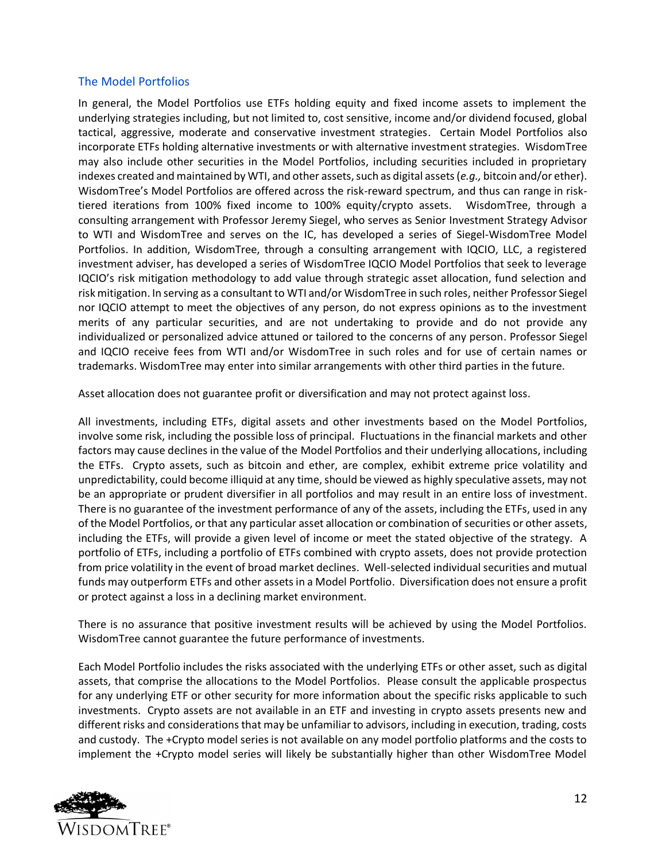### The Model Portfolios

In general, the Model Portfolios use ETFs holding equity and fixed income assets to implement the underlying strategies including, but not limited to, cost sensitive, income and/or dividend focused, global tactical, aggressive, moderate and conservative investment strategies. Certain Model Portfolios also incorporate ETFs holding alternative investments or with alternative investment strategies. WisdomTree may also include other securities in the Model Portfolios, including securities included in proprietary indexes created and maintained by WTI, and other assets, such as digital assets (*e.g.,* bitcoin and/or ether). WisdomTree's Model Portfolios are offered across the risk-reward spectrum, and thus can range in risktiered iterations from 100% fixed income to 100% equity/crypto assets. WisdomTree, through a consulting arrangement with Professor Jeremy Siegel, who serves as Senior Investment Strategy Advisor to WTI and WisdomTree and serves on the IC, has developed a series of Siegel-WisdomTree Model Portfolios. In addition, WisdomTree, through a consulting arrangement with IQCIO, LLC, a registered investment adviser, has developed a series of WisdomTree IQCIO Model Portfolios that seek to leverage IQCIO's risk mitigation methodology to add value through strategic asset allocation, fund selection and risk mitigation. In serving as a consultant to WTI and/or WisdomTree in such roles, neither Professor Siegel nor IQCIO attempt to meet the objectives of any person, do not express opinions as to the investment merits of any particular securities, and are not undertaking to provide and do not provide any individualized or personalized advice attuned or tailored to the concerns of any person. Professor Siegel and IQCIO receive fees from WTI and/or WisdomTree in such roles and for use of certain names or trademarks. WisdomTree may enter into similar arrangements with other third parties in the future.

Asset allocation does not guarantee profit or diversification and may not protect against loss.

All investments, including ETFs, digital assets and other investments based on the Model Portfolios, involve some risk, including the possible loss of principal. Fluctuations in the financial markets and other factors may cause declines in the value of the Model Portfolios and their underlying allocations, including the ETFs. Crypto assets, such as bitcoin and ether, are complex, exhibit extreme price volatility and unpredictability, could become illiquid at any time, should be viewed as highly speculative assets, may not be an appropriate or prudent diversifier in all portfolios and may result in an entire loss of investment. There is no guarantee of the investment performance of any of the assets, including the ETFs, used in any of the Model Portfolios, or that any particular asset allocation or combination of securities or other assets, including the ETFs, will provide a given level of income or meet the stated objective of the strategy. A portfolio of ETFs, including a portfolio of ETFs combined with crypto assets, does not provide protection from price volatility in the event of broad market declines. Well-selected individual securities and mutual funds may outperform ETFs and other assets in a Model Portfolio. Diversification does not ensure a profit or protect against a loss in a declining market environment.

There is no assurance that positive investment results will be achieved by using the Model Portfolios. WisdomTree cannot guarantee the future performance of investments.

Each Model Portfolio includes the risks associated with the underlying ETFs or other asset, such as digital assets, that comprise the allocations to the Model Portfolios. Please consult the applicable prospectus for any underlying ETF or other security for more information about the specific risks applicable to such investments. Crypto assets are not available in an ETF and investing in crypto assets presents new and different risks and considerations that may be unfamiliar to advisors, including in execution, trading, costs and custody. The +Crypto model series is not available on any model portfolio platforms and the costs to implement the +Crypto model series will likely be substantially higher than other WisdomTree Model

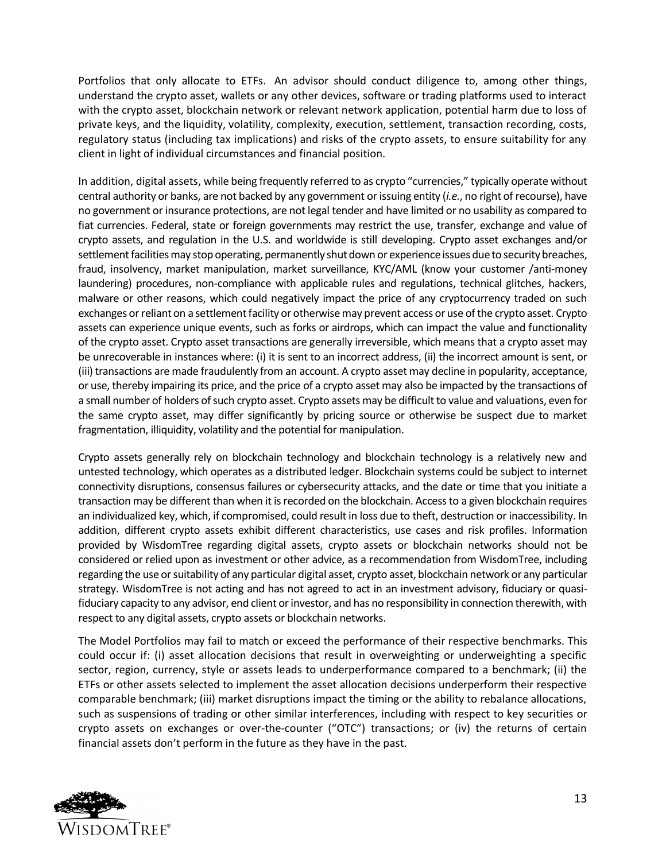Portfolios that only allocate to ETFs. An advisor should conduct diligence to, among other things, understand the crypto asset, wallets or any other devices, software or trading platforms used to interact with the crypto asset, blockchain network or relevant network application, potential harm due to loss of private keys, and the liquidity, volatility, complexity, execution, settlement, transaction recording, costs, regulatory status (including tax implications) and risks of the crypto assets, to ensure suitability for any client in light of individual circumstances and financial position.

In addition, digital assets, while being frequently referred to as crypto "currencies," typically operate without central authority or banks, are not backed by any government or issuing entity (*i.e.*, no right of recourse), have no government or insurance protections, are not legal tender and have limited or no usability as compared to fiat currencies. Federal, state or foreign governments may restrict the use, transfer, exchange and value of crypto assets, and regulation in the U.S. and worldwide is still developing. Crypto asset exchanges and/or settlement facilities may stop operating, permanently shut down or experience issues due to security breaches, fraud, insolvency, market manipulation, market surveillance, KYC/AML (know your customer /anti-money laundering) procedures, non-compliance with applicable rules and regulations, technical glitches, hackers, malware or other reasons, which could negatively impact the price of any cryptocurrency traded on such exchanges or reliant on a settlement facility or otherwise may prevent access or use of the crypto asset. Crypto assets can experience unique events, such as forks or airdrops, which can impact the value and functionality of the crypto asset. Crypto asset transactions are generally irreversible, which means that a crypto asset may be unrecoverable in instances where: (i) it is sent to an incorrect address, (ii) the incorrect amount is sent, or (iii) transactions are made fraudulently from an account. A crypto asset may decline in popularity, acceptance, or use, thereby impairing its price, and the price of a crypto asset may also be impacted by the transactions of a small number of holders of such crypto asset. Crypto assets may be difficult to value and valuations, even for the same crypto asset, may differ significantly by pricing source or otherwise be suspect due to market fragmentation, illiquidity, volatility and the potential for manipulation.

Crypto assets generally rely on blockchain technology and blockchain technology is a relatively new and untested technology, which operates as a distributed ledger. Blockchain systems could be subject to internet connectivity disruptions, consensus failures or cybersecurity attacks, and the date or time that you initiate a transaction may be different than when it is recorded on the blockchain. Access to a given blockchain requires an individualized key, which, if compromised, could result in loss due to theft, destruction or inaccessibility. In addition, different crypto assets exhibit different characteristics, use cases and risk profiles. Information provided by WisdomTree regarding digital assets, crypto assets or blockchain networks should not be considered or relied upon as investment or other advice, as a recommendation from WisdomTree, including regarding the use or suitability of any particular digital asset, crypto asset, blockchain network or any particular strategy. WisdomTree is not acting and has not agreed to act in an investment advisory, fiduciary or quasifiduciary capacity to any advisor, end client or investor, and has no responsibility in connection therewith, with respect to any digital assets, crypto assets or blockchain networks.

The Model Portfolios may fail to match or exceed the performance of their respective benchmarks. This could occur if: (i) asset allocation decisions that result in overweighting or underweighting a specific sector, region, currency, style or assets leads to underperformance compared to a benchmark; (ii) the ETFs or other assets selected to implement the asset allocation decisions underperform their respective comparable benchmark; (iii) market disruptions impact the timing or the ability to rebalance allocations, such as suspensions of trading or other similar interferences, including with respect to key securities or crypto assets on exchanges or over-the-counter ("OTC") transactions; or (iv) the returns of certain financial assets don't perform in the future as they have in the past.

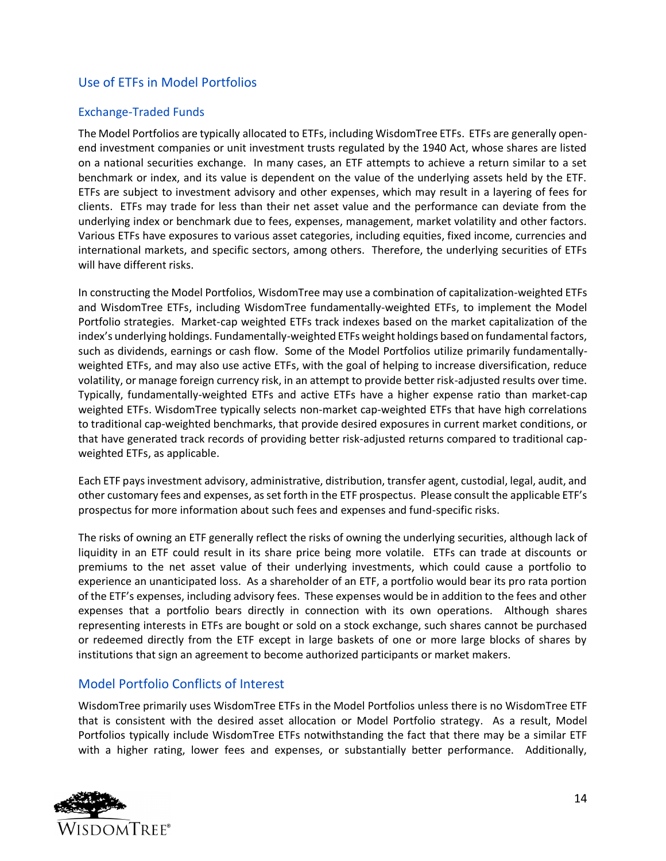## Use of ETFs in Model Portfolios

#### Exchange-Traded Funds

The Model Portfolios are typically allocated to ETFs, including WisdomTree ETFs. ETFs are generally openend investment companies or unit investment trusts regulated by the 1940 Act, whose shares are listed on a national securities exchange. In many cases, an ETF attempts to achieve a return similar to a set benchmark or index, and its value is dependent on the value of the underlying assets held by the ETF. ETFs are subject to investment advisory and other expenses, which may result in a layering of fees for clients. ETFs may trade for less than their net asset value and the performance can deviate from the underlying index or benchmark due to fees, expenses, management, market volatility and other factors. Various ETFs have exposures to various asset categories, including equities, fixed income, currencies and international markets, and specific sectors, among others. Therefore, the underlying securities of ETFs will have different risks.

In constructing the Model Portfolios, WisdomTree may use a combination of capitalization-weighted ETFs and WisdomTree ETFs, including WisdomTree fundamentally-weighted ETFs, to implement the Model Portfolio strategies. Market-cap weighted ETFs track indexes based on the market capitalization of the index's underlying holdings. Fundamentally-weighted ETFs weight holdings based on fundamental factors, such as dividends, earnings or cash flow. Some of the Model Portfolios utilize primarily fundamentallyweighted ETFs, and may also use active ETFs, with the goal of helping to increase diversification, reduce volatility, or manage foreign currency risk, in an attempt to provide better risk-adjusted results over time. Typically, fundamentally-weighted ETFs and active ETFs have a higher expense ratio than market-cap weighted ETFs. WisdomTree typically selects non-market cap-weighted ETFs that have high correlations to traditional cap-weighted benchmarks, that provide desired exposures in current market conditions, or that have generated track records of providing better risk-adjusted returns compared to traditional capweighted ETFs, as applicable.

Each ETF pays investment advisory, administrative, distribution, transfer agent, custodial, legal, audit, and other customary fees and expenses, as set forth in the ETF prospectus. Please consult the applicable ETF's prospectus for more information about such fees and expenses and fund-specific risks.

The risks of owning an ETF generally reflect the risks of owning the underlying securities, although lack of liquidity in an ETF could result in its share price being more volatile. ETFs can trade at discounts or premiums to the net asset value of their underlying investments, which could cause a portfolio to experience an unanticipated loss. As a shareholder of an ETF, a portfolio would bear its pro rata portion of the ETF's expenses, including advisory fees. These expenses would be in addition to the fees and other expenses that a portfolio bears directly in connection with its own operations. Although shares representing interests in ETFs are bought or sold on a stock exchange, such shares cannot be purchased or redeemed directly from the ETF except in large baskets of one or more large blocks of shares by institutions that sign an agreement to become authorized participants or market makers.

### Model Portfolio Conflicts of Interest

WisdomTree primarily uses WisdomTree ETFs in the Model Portfolios unless there is no WisdomTree ETF that is consistent with the desired asset allocation or Model Portfolio strategy. As a result, Model Portfolios typically include WisdomTree ETFs notwithstanding the fact that there may be a similar ETF with a higher rating, lower fees and expenses, or substantially better performance. Additionally,

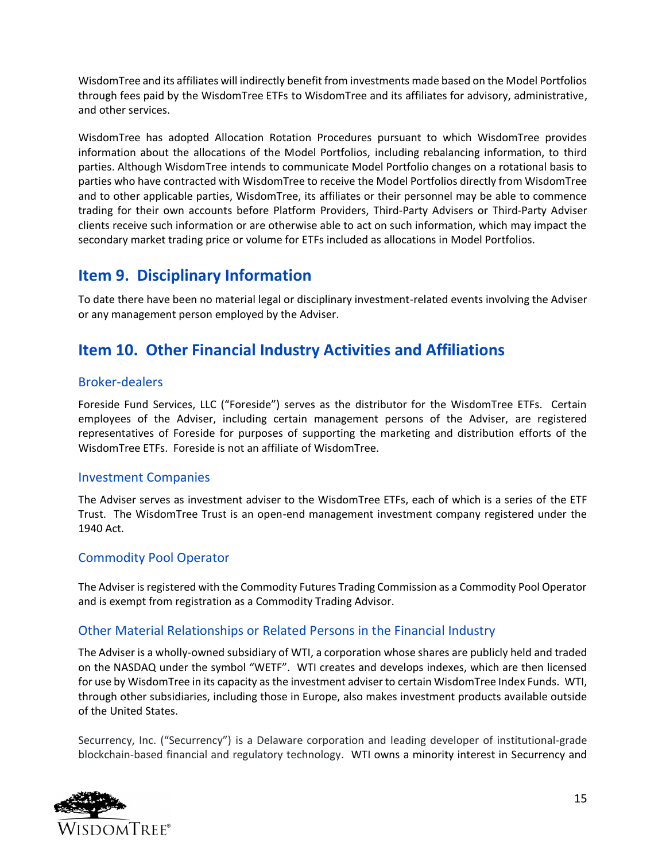WisdomTree and its affiliates will indirectly benefit from investments made based on the Model Portfolios through fees paid by the WisdomTree ETFs to WisdomTree and its affiliates for advisory, administrative, and other services.

WisdomTree has adopted Allocation Rotation Procedures pursuant to which WisdomTree provides information about the allocations of the Model Portfolios, including rebalancing information, to third parties. Although WisdomTree intends to communicate Model Portfolio changes on a rotational basis to parties who have contracted with WisdomTree to receive the Model Portfolios directly from WisdomTree and to other applicable parties, WisdomTree, its affiliates or their personnel may be able to commence trading for their own accounts before Platform Providers, Third-Party Advisers or Third-Party Adviser clients receive such information or are otherwise able to act on such information, which may impact the secondary market trading price or volume for ETFs included as allocations in Model Portfolios.

## <span id="page-14-0"></span>**Item 9. Disciplinary Information**

To date there have been no material legal or disciplinary investment-related events involving the Adviser or any management person employed by the Adviser.

## <span id="page-14-1"></span>**Item 10. Other Financial Industry Activities and Affiliations**

## Broker-dealers

Foreside Fund Services, LLC ("Foreside") serves as the distributor for the WisdomTree ETFs. Certain employees of the Adviser, including certain management persons of the Adviser, are registered representatives of Foreside for purposes of supporting the marketing and distribution efforts of the WisdomTree ETFs. Foreside is not an affiliate of WisdomTree.

### Investment Companies

The Adviser serves as investment adviser to the WisdomTree ETFs, each of which is a series of the ETF Trust. The WisdomTree Trust is an open-end management investment company registered under the 1940 Act.

## Commodity Pool Operator

The Adviser is registered with the Commodity Futures Trading Commission as a Commodity Pool Operator and is exempt from registration as a Commodity Trading Advisor.

## Other Material Relationships or Related Persons in the Financial Industry

The Adviser is a wholly-owned subsidiary of WTI, a corporation whose shares are publicly held and traded on the NASDAQ under the symbol "WETF". WTI creates and develops indexes, which are then licensed for use by WisdomTree in its capacity as the investment adviser to certain WisdomTree Index Funds. WTI, through other subsidiaries, including those in Europe, also makes investment products available outside of the United States.

Securrency, Inc. ("Securrency") is a Delaware corporation and leading developer of institutional-grade blockchain-based financial and regulatory technology. WTI owns a minority interest in Securrency and

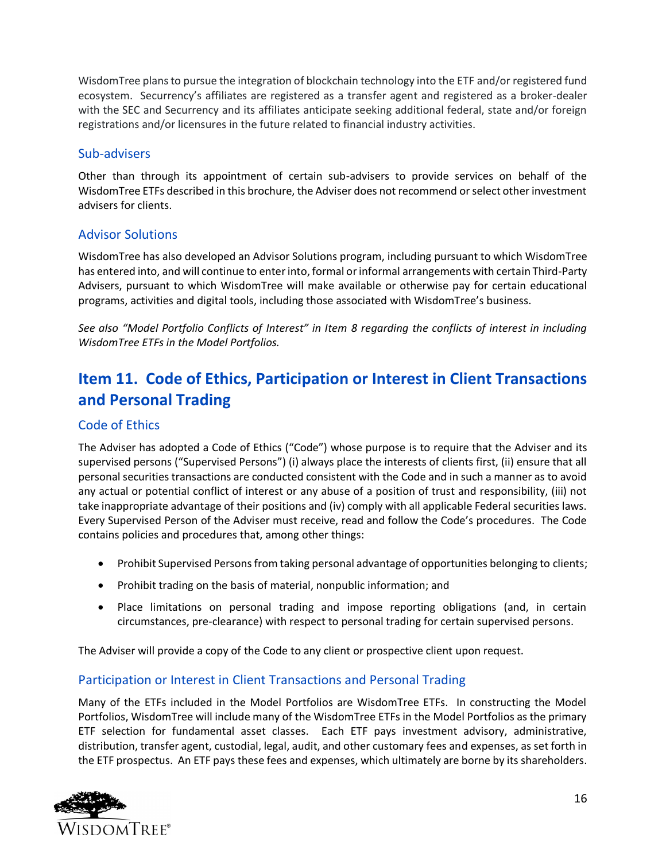WisdomTree plans to pursue the integration of blockchain technology into the ETF and/or registered fund ecosystem. Securrency's affiliates are registered as a transfer agent and registered as a broker-dealer with the SEC and Securrency and its affiliates anticipate seeking additional federal, state and/or foreign registrations and/or licensures in the future related to financial industry activities.

### Sub-advisers

Other than through its appointment of certain sub-advisers to provide services on behalf of the WisdomTree ETFs described in this brochure, the Adviser does not recommend or select other investment advisers for clients.

## Advisor Solutions

WisdomTree has also developed an Advisor Solutions program, including pursuant to which WisdomTree has entered into, and will continue to enter into, formal or informal arrangements with certain Third-Party Advisers, pursuant to which WisdomTree will make available or otherwise pay for certain educational programs, activities and digital tools, including those associated with WisdomTree's business.

*See also "Model Portfolio Conflicts of Interest" in Item 8 regarding the conflicts of interest in including WisdomTree ETFs in the Model Portfolios.*

## <span id="page-15-0"></span>**Item 11. Code of Ethics, Participation or Interest in Client Transactions and Personal Trading**

## Code of Ethics

The Adviser has adopted a Code of Ethics ("Code") whose purpose is to require that the Adviser and its supervised persons ("Supervised Persons") (i) always place the interests of clients first, (ii) ensure that all personal securities transactions are conducted consistent with the Code and in such a manner as to avoid any actual or potential conflict of interest or any abuse of a position of trust and responsibility, (iii) not take inappropriate advantage of their positions and (iv) comply with all applicable Federal securities laws. Every Supervised Person of the Adviser must receive, read and follow the Code's procedures. The Code contains policies and procedures that, among other things:

- Prohibit Supervised Persons from taking personal advantage of opportunities belonging to clients;
- Prohibit trading on the basis of material, nonpublic information; and
- Place limitations on personal trading and impose reporting obligations (and, in certain circumstances, pre-clearance) with respect to personal trading for certain supervised persons.

The Adviser will provide a copy of the Code to any client or prospective client upon request.

## Participation or Interest in Client Transactions and Personal Trading

Many of the ETFs included in the Model Portfolios are WisdomTree ETFs. In constructing the Model Portfolios, WisdomTree will include many of the WisdomTree ETFs in the Model Portfolios as the primary ETF selection for fundamental asset classes. Each ETF pays investment advisory, administrative, distribution, transfer agent, custodial, legal, audit, and other customary fees and expenses, as set forth in the ETF prospectus. An ETF pays these fees and expenses, which ultimately are borne by its shareholders.

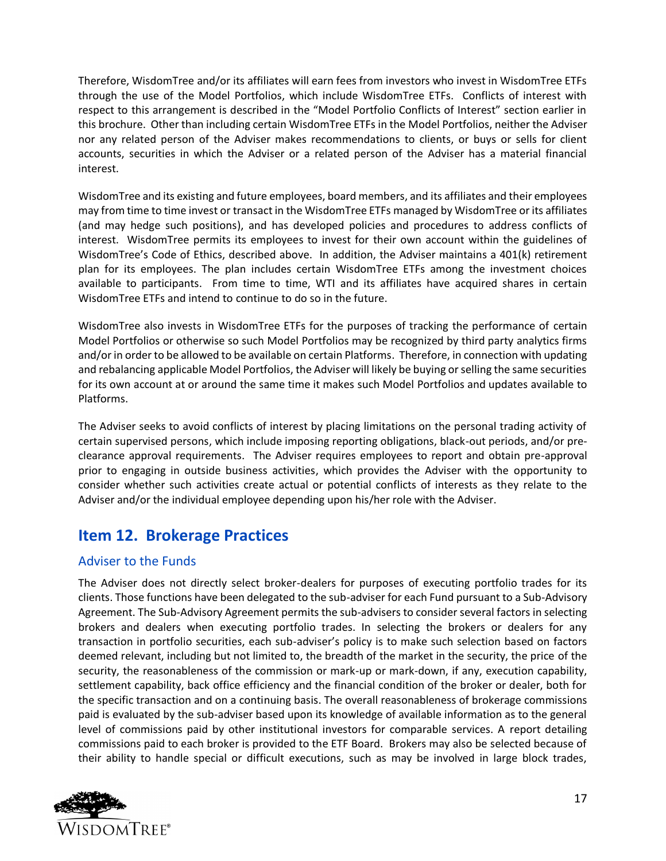Therefore, WisdomTree and/or its affiliates will earn fees from investors who invest in WisdomTree ETFs through the use of the Model Portfolios, which include WisdomTree ETFs. Conflicts of interest with respect to this arrangement is described in the "Model Portfolio Conflicts of Interest" section earlier in this brochure. Other than including certain WisdomTree ETFs in the Model Portfolios, neither the Adviser nor any related person of the Adviser makes recommendations to clients, or buys or sells for client accounts, securities in which the Adviser or a related person of the Adviser has a material financial interest.

WisdomTree and its existing and future employees, board members, and its affiliates and their employees may from time to time invest or transact in the WisdomTree ETFs managed by WisdomTree or its affiliates (and may hedge such positions), and has developed policies and procedures to address conflicts of interest. WisdomTree permits its employees to invest for their own account within the guidelines of WisdomTree's Code of Ethics, described above. In addition, the Adviser maintains a 401(k) retirement plan for its employees. The plan includes certain WisdomTree ETFs among the investment choices available to participants. From time to time, WTI and its affiliates have acquired shares in certain WisdomTree ETFs and intend to continue to do so in the future.

WisdomTree also invests in WisdomTree ETFs for the purposes of tracking the performance of certain Model Portfolios or otherwise so such Model Portfolios may be recognized by third party analytics firms and/or in order to be allowed to be available on certain Platforms. Therefore, in connection with updating and rebalancing applicable Model Portfolios, the Adviser will likely be buying or selling the same securities for its own account at or around the same time it makes such Model Portfolios and updates available to Platforms.

The Adviser seeks to avoid conflicts of interest by placing limitations on the personal trading activity of certain supervised persons, which include imposing reporting obligations, black-out periods, and/or preclearance approval requirements. The Adviser requires employees to report and obtain pre-approval prior to engaging in outside business activities, which provides the Adviser with the opportunity to consider whether such activities create actual or potential conflicts of interests as they relate to the Adviser and/or the individual employee depending upon his/her role with the Adviser.

## <span id="page-16-0"></span>**Item 12. Brokerage Practices**

## Adviser to the Funds

The Adviser does not directly select broker-dealers for purposes of executing portfolio trades for its clients. Those functions have been delegated to the sub-adviser for each Fund pursuant to a Sub-Advisory Agreement. The Sub-Advisory Agreement permits the sub-advisers to consider several factors in selecting brokers and dealers when executing portfolio trades. In selecting the brokers or dealers for any transaction in portfolio securities, each sub-adviser's policy is to make such selection based on factors deemed relevant, including but not limited to, the breadth of the market in the security, the price of the security, the reasonableness of the commission or mark-up or mark-down, if any, execution capability, settlement capability, back office efficiency and the financial condition of the broker or dealer, both for the specific transaction and on a continuing basis. The overall reasonableness of brokerage commissions paid is evaluated by the sub-adviser based upon its knowledge of available information as to the general level of commissions paid by other institutional investors for comparable services. A report detailing commissions paid to each broker is provided to the ETF Board. Brokers may also be selected because of their ability to handle special or difficult executions, such as may be involved in large block trades,

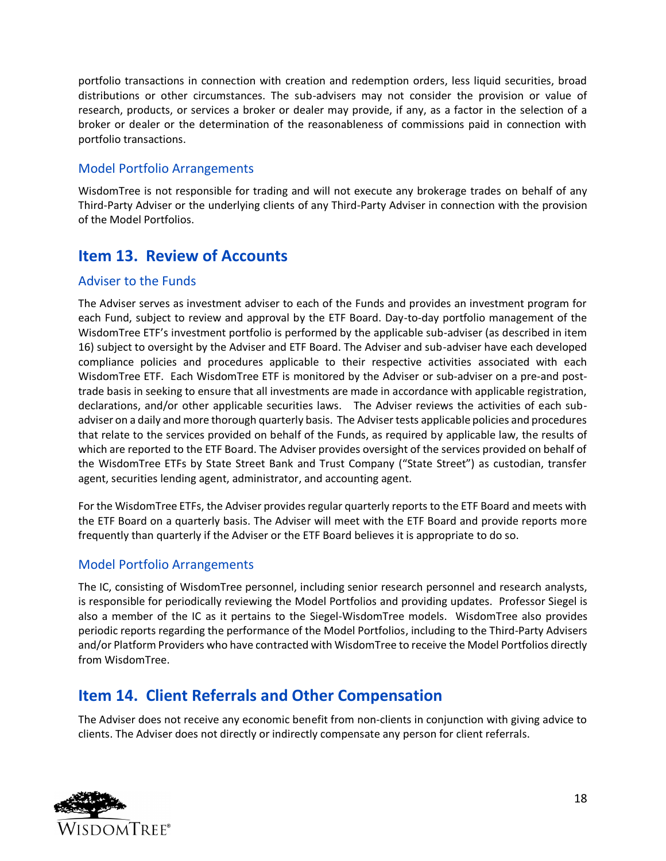portfolio transactions in connection with creation and redemption orders, less liquid securities, broad distributions or other circumstances. The sub-advisers may not consider the provision or value of research, products, or services a broker or dealer may provide, if any, as a factor in the selection of a broker or dealer or the determination of the reasonableness of commissions paid in connection with portfolio transactions.

## Model Portfolio Arrangements

WisdomTree is not responsible for trading and will not execute any brokerage trades on behalf of any Third-Party Adviser or the underlying clients of any Third-Party Adviser in connection with the provision of the Model Portfolios.

## <span id="page-17-0"></span>**Item 13. Review of Accounts**

## Adviser to the Funds

The Adviser serves as investment adviser to each of the Funds and provides an investment program for each Fund, subject to review and approval by the ETF Board. Day-to-day portfolio management of the WisdomTree ETF's investment portfolio is performed by the applicable sub-adviser (as described in item 16) subject to oversight by the Adviser and ETF Board. The Adviser and sub-adviser have each developed compliance policies and procedures applicable to their respective activities associated with each WisdomTree ETF. Each WisdomTree ETF is monitored by the Adviser or sub-adviser on a pre-and posttrade basis in seeking to ensure that all investments are made in accordance with applicable registration, declarations, and/or other applicable securities laws. The Adviser reviews the activities of each subadviser on a daily and more thorough quarterly basis. The Adviser tests applicable policies and procedures that relate to the services provided on behalf of the Funds, as required by applicable law, the results of which are reported to the ETF Board. The Adviser provides oversight of the services provided on behalf of the WisdomTree ETFs by State Street Bank and Trust Company ("State Street") as custodian, transfer agent, securities lending agent, administrator, and accounting agent.

For the WisdomTree ETFs, the Adviser provides regular quarterly reports to the ETF Board and meets with the ETF Board on a quarterly basis. The Adviser will meet with the ETF Board and provide reports more frequently than quarterly if the Adviser or the ETF Board believes it is appropriate to do so.

## Model Portfolio Arrangements

The IC, consisting of WisdomTree personnel, including senior research personnel and research analysts, is responsible for periodically reviewing the Model Portfolios and providing updates. Professor Siegel is also a member of the IC as it pertains to the Siegel-WisdomTree models. WisdomTree also provides periodic reports regarding the performance of the Model Portfolios, including to the Third-Party Advisers and/or Platform Providers who have contracted with WisdomTree to receive the Model Portfolios directly from WisdomTree.

## <span id="page-17-1"></span>**Item 14. Client Referrals and Other Compensation**

The Adviser does not receive any economic benefit from non-clients in conjunction with giving advice to clients. The Adviser does not directly or indirectly compensate any person for client referrals.